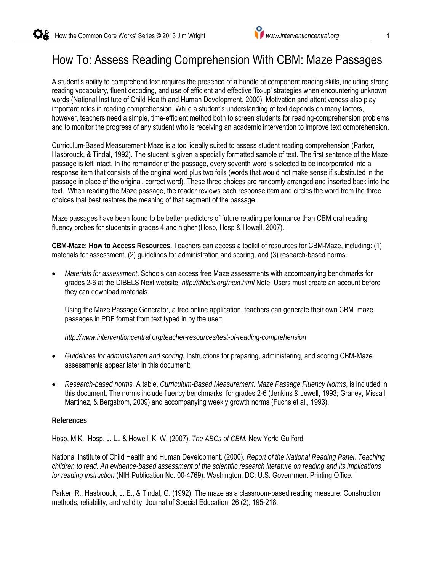## How To: Assess Reading Comprehension With CBM: Maze Passages

A student's ability to comprehend text requires the presence of a bundle of component reading skills, including strong reading vocabulary, fluent decoding, and use of efficient and effective 'fix-up' strategies when encountering unknown words (National Institute of Child Health and Human Development, 2000). Motivation and attentiveness also play important roles in reading comprehension. While a student's understanding of text depends on many factors, however, teachers need a simple, time-efficient method both to screen students for reading-comprehension problems and to monitor the progress of any student who is receiving an academic intervention to improve text comprehension.

Curriculum-Based Measurement-Maze is a tool ideally suited to assess student reading comprehension (Parker, Hasbrouck, & Tindal, 1992). The student is given a specially formatted sample of text. The first sentence of the Maze passage is left intact. In the remainder of the passage, every seventh word is selected to be incorporated into a response item that consists of the original word plus two foils (words that would not make sense if substituted in the passage in place of the original, correct word). These three choices are randomly arranged and inserted back into the text. When reading the Maze passage, the reader reviews each response item and circles the word from the three choices that best restores the meaning of that segment of the passage.

Maze passages have been found to be better predictors of future reading performance than CBM oral reading fluency probes for students in grades 4 and higher (Hosp, Hosp & Howell, 2007).

**CBM-Maze: How to Access Resources.** Teachers can access a toolkit of resources for CBM-Maze, including: (1) materials for assessment, (2) guidelines for administration and scoring, and (3) research-based norms.

 *Materials for assessment*. Schools can access free Maze assessments with accompanying benchmarks for grades 2-6 at the DIBELS Next website: *http://dibels.org/next.html* Note: Users must create an account before they can download materials.

Using the Maze Passage Generator, a free online application, teachers can generate their own CBM maze passages in PDF format from text typed in by the user:

*http://www.interventioncentral.org/teacher-resources/test-of-reading-comprehension*

- *Guidelines for administration and scoring.* Instructions for preparing, administering, and scoring CBM-Maze assessments appear later in this document:
- *Research-based norms.* A table, *Curriculum-Based Measurement: Maze Passage Fluency Norms*, is included in this document. The norms include fluency benchmarks for grades 2-6 (Jenkins & Jewell, 1993; Graney, Missall, Martinez, & Bergstrom, 2009) and accompanying weekly growth norms (Fuchs et al., 1993).

#### **References**

Hosp, M.K., Hosp, J. L., & Howell, K. W. (2007). *The ABCs of CBM.* New York: Guilford.

National Institute of Child Health and Human Development. (2000). *Report of the National Reading Panel. Teaching children to read: An evidence-based assessment of the scientific research literature on reading and its implications for reading instruction* (NIH Publication No. 00-4769). Washington, DC: U.S. Government Printing Office.

Parker, R., Hasbrouck, J. E., & Tindal, G. (1992). The maze as a classroom-based reading measure: Construction methods, reliability, and validity. Journal of Special Education, 26 (2), 195-218.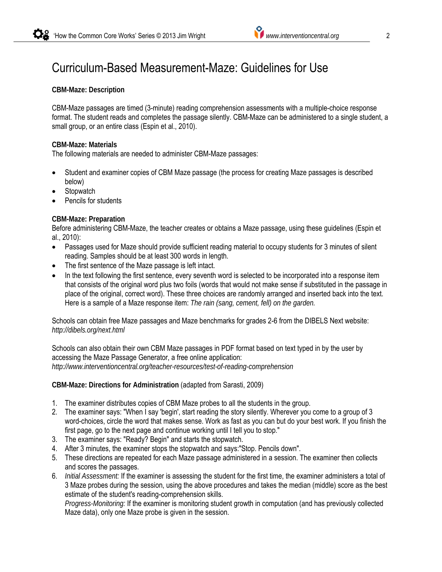#### **CBM-Maze: Description**

CBM-Maze passages are timed (3-minute) reading comprehension assessments with a multiple-choice response format. The student reads and completes the passage silently. CBM-Maze can be administered to a single student, a small group, or an entire class (Espin et al., 2010).

#### **CBM-Maze: Materials**

The following materials are needed to administer CBM-Maze passages:

- Student and examiner copies of CBM Maze passage (the process for creating Maze passages is described below)
- **Stopwatch**
- Pencils for students

#### **CBM-Maze: Preparation**

Before administering CBM-Maze, the teacher creates or obtains a Maze passage, using these guidelines (Espin et al., 2010):

- Passages used for Maze should provide sufficient reading material to occupy students for 3 minutes of silent reading. Samples should be at least 300 words in length.
- The first sentence of the Maze passage is left intact.
- In the text following the first sentence, every seventh word is selected to be incorporated into a response item that consists of the original word plus two foils (words that would not make sense if substituted in the passage in place of the original, correct word). These three choices are randomly arranged and inserted back into the text. Here is a sample of a Maze response item: *The rain (sang, cement, fell) on the garden.*

Schools can obtain free Maze passages and Maze benchmarks for grades 2-6 from the DIBELS Next website: *http://dibels.org/next.html*

Schools can also obtain their own CBM Maze passages in PDF format based on text typed in by the user by accessing the Maze Passage Generator, a free online application: *http://www.interventioncentral.org/teacher-resources/test-of-reading-comprehension*

**CBM-Maze: Directions for Administration** (adapted from Sarasti, 2009)

- 1. The examiner distributes copies of CBM Maze probes to all the students in the group.
- 2. The examiner says: "When I say 'begin', start reading the story silently. Wherever you come to a group of 3 word-choices, circle the word that makes sense. Work as fast as you can but do your best work. If you finish the first page, go to the next page and continue working until I tell you to stop."
- 3. The examiner says: "Ready? Begin" and starts the stopwatch.
- 4. After 3 minutes, the examiner stops the stopwatch and says:"Stop. Pencils down".
- 5. These directions are repeated for each Maze passage administered in a session. The examiner then collects and scores the passages.
- 6. *Initial Assessment:* If the examiner is assessing the student for the first time, the examiner administers a total of 3 Maze probes during the session, using the above procedures and takes the median (middle) score as the best estimate of the student's reading-comprehension skills.

*Progress-Monitoring:* If the examiner is monitoring student growth in computation (and has previously collected Maze data), only one Maze probe is given in the session.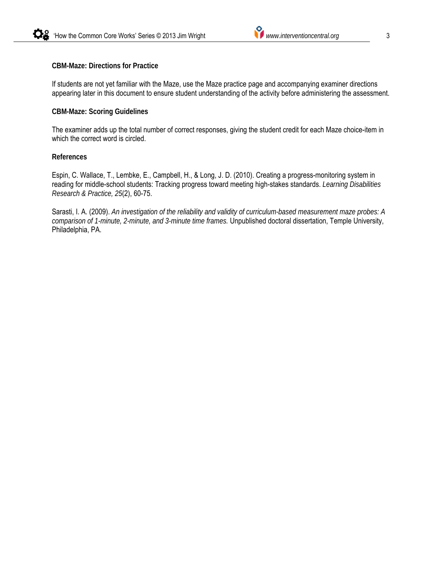#### **CBM-Maze: Directions for Practice**

If students are not yet familiar with the Maze, use the Maze practice page and accompanying examiner directions appearing later in this document to ensure student understanding of the activity before administering the assessment.

#### **CBM-Maze: Scoring Guidelines**

The examiner adds up the total number of correct responses, giving the student credit for each Maze choice-item in which the correct word is circled.

#### **References**

Espin, C. Wallace, T., Lembke, E., Campbell, H., & Long, J. D. (2010). Creating a progress-monitoring system in reading for middle-school students: Tracking progress toward meeting high-stakes standards. *Learning Disabilities Research & Practice, 25*(2), 60-75.

Sarasti, I. A. (2009). *An investigation of the reliability and validity of curriculum-based measurement maze probes: A comparison of 1-minute, 2-minute, and 3-minute time frames.* Unpublished doctoral dissertation, Temple University, Philadelphia, PA.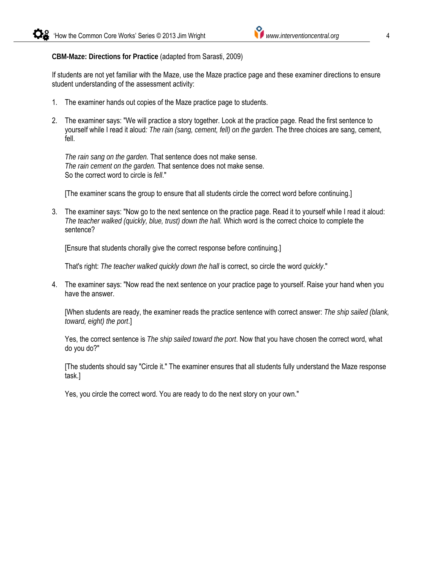**CBM-Maze: Directions for Practice** (adapted from Sarasti, 2009)

If students are not yet familiar with the Maze, use the Maze practice page and these examiner directions to ensure student understanding of the assessment activity:

- 1. The examiner hands out copies of the Maze practice page to students.
- 2. The examiner says: "We will practice a story together. Look at the practice page. Read the first sentence to yourself while I read it aloud*: The rain (sang, cement, fell) on the garden.* The three choices are sang, cement, fell.

*The rain sang on the garden.* That sentence does not make sense. *The rain cement on the garden.* That sentence does not make sense. So the correct word to circle is *fell*."

[The examiner scans the group to ensure that all students circle the correct word before continuing.]

3. The examiner says: "Now go to the next sentence on the practice page. Read it to yourself while I read it aloud: *The teacher walked (quickly, blue, trust) down the hall.* Which word is the correct choice to complete the sentence?

[Ensure that students chorally give the correct response before continuing.]

That's right: *The teacher walked quickly down the hall* is correct, so circle the word *quickly*."

4. The examiner says: "Now read the next sentence on your practice page to yourself. Raise your hand when you have the answer.

[When students are ready, the examiner reads the practice sentence with correct answer: *The ship sailed (blank, toward, eight) the port*.]

Yes, the correct sentence is *The ship sailed toward the port*. Now that you have chosen the correct word, what do you do?"

[The students should say "Circle it." The examiner ensures that all students fully understand the Maze response task.]

Yes, you circle the correct word. You are ready to do the next story on your own."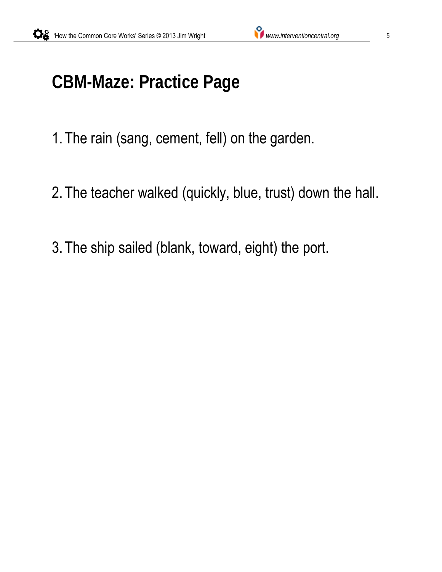# **CBM-Maze: Practice Page**

1. The rain (sang, cement, fell) on the garden.

- 2. The teacher walked (quickly, blue, trust) down the hall.
- 3. The ship sailed (blank, toward, eight) the port.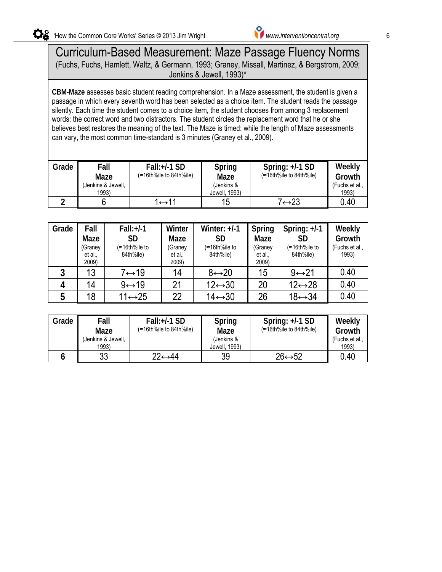### Curriculum-Based Measurement: Maze Passage Fluency Norms (Fuchs, Fuchs, Hamlett, Waltz, & Germann, 1993; Graney, Missall, Martinez, & Bergstrom, 2009; passage in which every seventh word has been selected as a choice item. The student reads the passage of the p

**CBM-Maze** assesses basic student reading comprehension. In a Maze assessment, the student is given a passage in which every seventh word has been selected as a choice item. The student reads the passage silently. Each time the student comes to a choice item, the student chooses from among 3 replacement words: the correct word and two distractors. The student circles the replacement word that he or she believes best restores the meaning of the text. The Maze is timed: while the length of Maze assessments can vary, the most common time-standard is 3 minutes (Graney et al., 2009).

| Grade | Fall<br>Maze<br>(Jenkins & Jewell,<br>1993) | $Fall:+/1SD$<br>$\approx 16$ th%ile to 84th%ile) | Spring<br>Maze<br>(Jenkins &<br>Jewell, 1993) | Spring: $+/-1$ SD<br>(≈16th%ile to 84th%ile) | Weekly<br>Growth<br>(Fuchs et al<br>1993) |
|-------|---------------------------------------------|--------------------------------------------------|-----------------------------------------------|----------------------------------------------|-------------------------------------------|
|       |                                             |                                                  | 15                                            | 7←23                                         | 0.40                                      |

| Grade | Fall<br>Maze<br>(Graney<br>et al.,<br>2009) | $Fall:+/1$<br><b>SD</b><br>(≈16th%ile to<br>84th%ile) | Winter<br>Maze<br>(Graney<br>et al.,<br>2009) | Winter: $+/-1$<br>SD<br>(≈16th%ile to<br>84th%ile) | Spring<br>Maze<br>(Graney<br>et al.,<br>2009) | Spring: $+/-1$<br>SD<br>(≈16th%ile to<br>84th%ile) | Weekly<br>Growth<br>(Fuchs et al.,<br>1993) |
|-------|---------------------------------------------|-------------------------------------------------------|-----------------------------------------------|----------------------------------------------------|-----------------------------------------------|----------------------------------------------------|---------------------------------------------|
| J     | 13                                          | 7↔19                                                  | 14                                            | $8 \leftrightarrow 20$                             | 15                                            | $9 \leftrightarrow 21$                             | 0.40                                        |
|       | 14                                          | $9 \leftrightarrow 19$                                | 21                                            | $12 \leftrightarrow 30$                            | 20                                            | $12 \leftrightarrow 28$                            | 0.40                                        |
| 5     | 18                                          | $11 \leftrightarrow 25$                               | 22                                            | $14 \leftrightarrow 30$                            | 26                                            | $18 \leftrightarrow 34$                            | 0.40                                        |

| Grade | Fall<br>Maze<br>(Jenkins & Jewell,<br>1993) | $Fall:+/1SD$<br>(≈16th%ile to 84th%ile) | Spring<br>Maze<br>(Jenkins &<br>Jewell, 1993) | Spring: $+/-1$ SD<br>(≈16th%ile to 84th%ile) | Weekly<br>Growth<br>(Fuchs et al.,<br>1993) |
|-------|---------------------------------------------|-----------------------------------------|-----------------------------------------------|----------------------------------------------|---------------------------------------------|
|       | 33                                          | 22↔44                                   | 39                                            | $26 \leftrightarrow 52$                      | 0.40                                        |